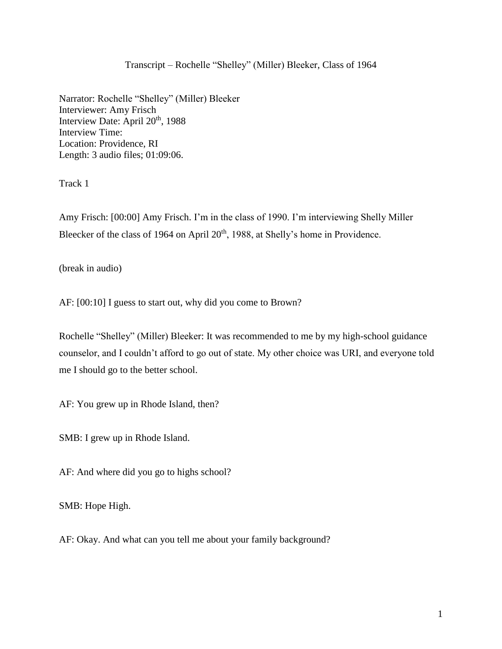# Transcript – Rochelle "Shelley" (Miller) Bleeker, Class of 1964

Narrator: Rochelle "Shelley" (Miller) Bleeker Interviewer: Amy Frisch Interview Date: April 20<sup>th</sup>, 1988 Interview Time: Location: Providence, RI Length: 3 audio files; 01:09:06.

Track 1

Amy Frisch: [00:00] Amy Frisch. I'm in the class of 1990. I'm interviewing Shelly Miller Bleecker of the class of 1964 on April 20<sup>th</sup>, 1988, at Shelly's home in Providence.

(break in audio)

AF: [00:10] I guess to start out, why did you come to Brown?

Rochelle "Shelley" (Miller) Bleeker: It was recommended to me by my high-school guidance counselor, and I couldn't afford to go out of state. My other choice was URI, and everyone told me I should go to the better school.

AF: You grew up in Rhode Island, then?

SMB: I grew up in Rhode Island.

AF: And where did you go to highs school?

SMB: Hope High.

AF: Okay. And what can you tell me about your family background?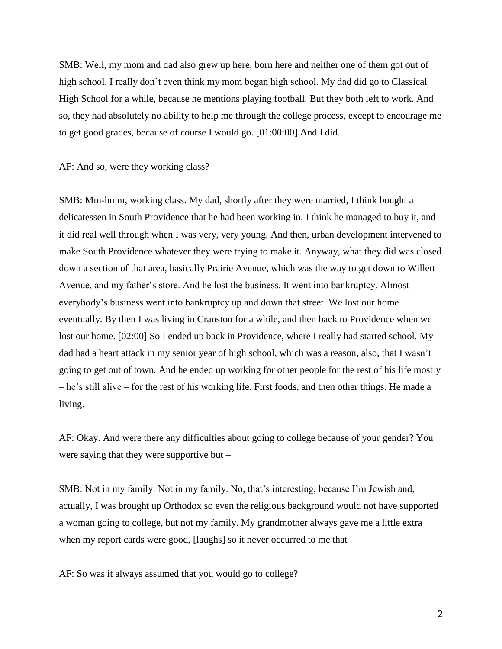SMB: Well, my mom and dad also grew up here, born here and neither one of them got out of high school. I really don't even think my mom began high school. My dad did go to Classical High School for a while, because he mentions playing football. But they both left to work. And so, they had absolutely no ability to help me through the college process, except to encourage me to get good grades, because of course I would go. [01:00:00] And I did.

AF: And so, were they working class?

SMB: Mm-hmm, working class. My dad, shortly after they were married, I think bought a delicatessen in South Providence that he had been working in. I think he managed to buy it, and it did real well through when I was very, very young. And then, urban development intervened to make South Providence whatever they were trying to make it. Anyway, what they did was closed down a section of that area, basically Prairie Avenue, which was the way to get down to Willett Avenue, and my father's store. And he lost the business. It went into bankruptcy. Almost everybody's business went into bankruptcy up and down that street. We lost our home eventually. By then I was living in Cranston for a while, and then back to Providence when we lost our home. [02:00] So I ended up back in Providence, where I really had started school. My dad had a heart attack in my senior year of high school, which was a reason, also, that I wasn't going to get out of town. And he ended up working for other people for the rest of his life mostly – he's still alive – for the rest of his working life. First foods, and then other things. He made a living.

AF: Okay. And were there any difficulties about going to college because of your gender? You were saying that they were supportive but –

SMB: Not in my family. Not in my family. No, that's interesting, because I'm Jewish and, actually, I was brought up Orthodox so even the religious background would not have supported a woman going to college, but not my family. My grandmother always gave me a little extra when my report cards were good, [laughs] so it never occurred to me that –

AF: So was it always assumed that you would go to college?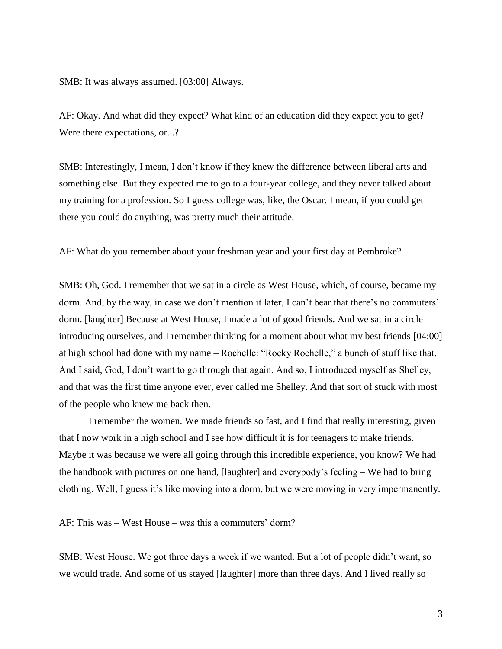SMB: It was always assumed. [03:00] Always.

AF: Okay. And what did they expect? What kind of an education did they expect you to get? Were there expectations, or...?

SMB: Interestingly, I mean, I don't know if they knew the difference between liberal arts and something else. But they expected me to go to a four-year college, and they never talked about my training for a profession. So I guess college was, like, the Oscar. I mean, if you could get there you could do anything, was pretty much their attitude.

AF: What do you remember about your freshman year and your first day at Pembroke?

SMB: Oh, God. I remember that we sat in a circle as West House, which, of course, became my dorm. And, by the way, in case we don't mention it later, I can't bear that there's no commuters' dorm. [laughter] Because at West House, I made a lot of good friends. And we sat in a circle introducing ourselves, and I remember thinking for a moment about what my best friends [04:00] at high school had done with my name – Rochelle: "Rocky Rochelle," a bunch of stuff like that. And I said, God, I don't want to go through that again. And so, I introduced myself as Shelley, and that was the first time anyone ever, ever called me Shelley. And that sort of stuck with most of the people who knew me back then.

I remember the women. We made friends so fast, and I find that really interesting, given that I now work in a high school and I see how difficult it is for teenagers to make friends. Maybe it was because we were all going through this incredible experience, you know? We had the handbook with pictures on one hand, [laughter] and everybody's feeling – We had to bring clothing. Well, I guess it's like moving into a dorm, but we were moving in very impermanently.

AF: This was – West House – was this a commuters' dorm?

SMB: West House. We got three days a week if we wanted. But a lot of people didn't want, so we would trade. And some of us stayed [laughter] more than three days. And I lived really so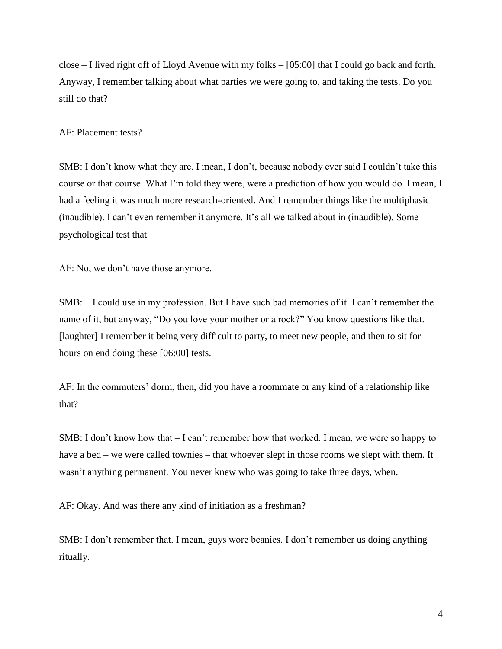close – I lived right off of Lloyd Avenue with my folks – [05:00] that I could go back and forth. Anyway, I remember talking about what parties we were going to, and taking the tests. Do you still do that?

AF: Placement tests?

SMB: I don't know what they are. I mean, I don't, because nobody ever said I couldn't take this course or that course. What I'm told they were, were a prediction of how you would do. I mean, I had a feeling it was much more research-oriented. And I remember things like the multiphasic (inaudible). I can't even remember it anymore. It's all we talked about in (inaudible). Some psychological test that –

AF: No, we don't have those anymore.

SMB: – I could use in my profession. But I have such bad memories of it. I can't remember the name of it, but anyway, "Do you love your mother or a rock?" You know questions like that. [laughter] I remember it being very difficult to party, to meet new people, and then to sit for hours on end doing these [06:00] tests.

AF: In the commuters' dorm, then, did you have a roommate or any kind of a relationship like that?

SMB: I don't know how that  $-I$  can't remember how that worked. I mean, we were so happy to have a bed – we were called townies – that whoever slept in those rooms we slept with them. It wasn't anything permanent. You never knew who was going to take three days, when.

AF: Okay. And was there any kind of initiation as a freshman?

SMB: I don't remember that. I mean, guys wore beanies. I don't remember us doing anything ritually.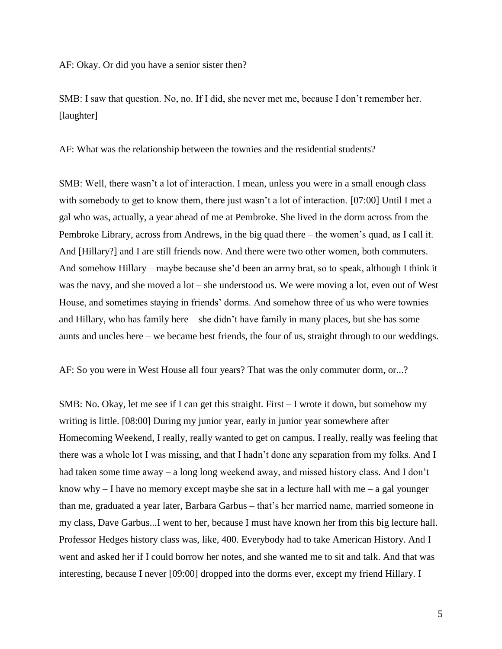AF: Okay. Or did you have a senior sister then?

SMB: I saw that question. No, no. If I did, she never met me, because I don't remember her. [laughter]

AF: What was the relationship between the townies and the residential students?

SMB: Well, there wasn't a lot of interaction. I mean, unless you were in a small enough class with somebody to get to know them, there just wasn't a lot of interaction. [07:00] Until I met a gal who was, actually, a year ahead of me at Pembroke. She lived in the dorm across from the Pembroke Library, across from Andrews, in the big quad there – the women's quad, as I call it. And [Hillary?] and I are still friends now. And there were two other women, both commuters. And somehow Hillary – maybe because she'd been an army brat, so to speak, although I think it was the navy, and she moved a lot – she understood us. We were moving a lot, even out of West House, and sometimes staying in friends' dorms. And somehow three of us who were townies and Hillary, who has family here – she didn't have family in many places, but she has some aunts and uncles here – we became best friends, the four of us, straight through to our weddings.

AF: So you were in West House all four years? That was the only commuter dorm, or...?

SMB: No. Okay, let me see if I can get this straight. First – I wrote it down, but somehow my writing is little. [08:00] During my junior year, early in junior year somewhere after Homecoming Weekend, I really, really wanted to get on campus. I really, really was feeling that there was a whole lot I was missing, and that I hadn't done any separation from my folks. And I had taken some time away – a long long weekend away, and missed history class. And I don't know why  $-$  I have no memory except maybe she sat in a lecture hall with me  $-$  a gal younger than me, graduated a year later, Barbara Garbus – that's her married name, married someone in my class, Dave Garbus...I went to her, because I must have known her from this big lecture hall. Professor Hedges history class was, like, 400. Everybody had to take American History. And I went and asked her if I could borrow her notes, and she wanted me to sit and talk. And that was interesting, because I never [09:00] dropped into the dorms ever, except my friend Hillary. I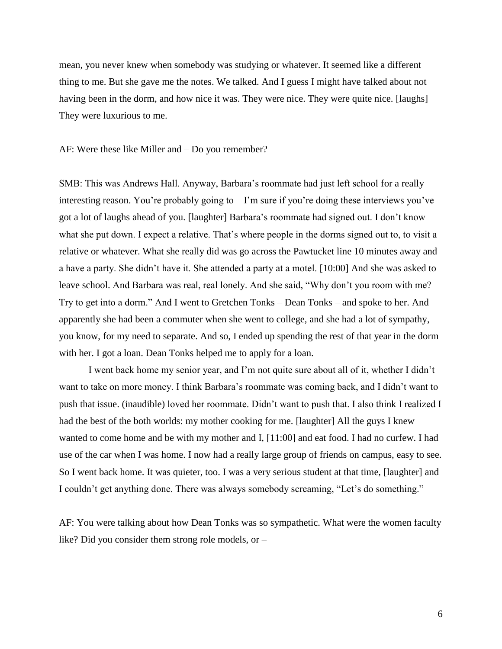mean, you never knew when somebody was studying or whatever. It seemed like a different thing to me. But she gave me the notes. We talked. And I guess I might have talked about not having been in the dorm, and how nice it was. They were nice. They were quite nice. [laughs] They were luxurious to me.

AF: Were these like Miller and – Do you remember?

SMB: This was Andrews Hall. Anyway, Barbara's roommate had just left school for a really interesting reason. You're probably going to – I'm sure if you're doing these interviews you've got a lot of laughs ahead of you. [laughter] Barbara's roommate had signed out. I don't know what she put down. I expect a relative. That's where people in the dorms signed out to, to visit a relative or whatever. What she really did was go across the Pawtucket line 10 minutes away and a have a party. She didn't have it. She attended a party at a motel. [10:00] And she was asked to leave school. And Barbara was real, real lonely. And she said, "Why don't you room with me? Try to get into a dorm." And I went to Gretchen Tonks – Dean Tonks – and spoke to her. And apparently she had been a commuter when she went to college, and she had a lot of sympathy, you know, for my need to separate. And so, I ended up spending the rest of that year in the dorm with her. I got a loan. Dean Tonks helped me to apply for a loan.

I went back home my senior year, and I'm not quite sure about all of it, whether I didn't want to take on more money. I think Barbara's roommate was coming back, and I didn't want to push that issue. (inaudible) loved her roommate. Didn't want to push that. I also think I realized I had the best of the both worlds: my mother cooking for me. [laughter] All the guys I knew wanted to come home and be with my mother and I, [11:00] and eat food. I had no curfew. I had use of the car when I was home. I now had a really large group of friends on campus, easy to see. So I went back home. It was quieter, too. I was a very serious student at that time, [laughter] and I couldn't get anything done. There was always somebody screaming, "Let's do something."

AF: You were talking about how Dean Tonks was so sympathetic. What were the women faculty like? Did you consider them strong role models, or –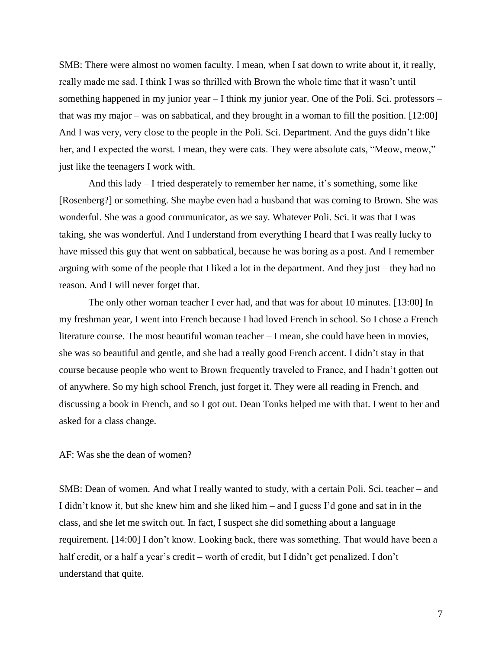SMB: There were almost no women faculty. I mean, when I sat down to write about it, it really, really made me sad. I think I was so thrilled with Brown the whole time that it wasn't until something happened in my junior year – I think my junior year. One of the Poli. Sci. professors – that was my major – was on sabbatical, and they brought in a woman to fill the position. [12:00] And I was very, very close to the people in the Poli. Sci. Department. And the guys didn't like her, and I expected the worst. I mean, they were cats. They were absolute cats, "Meow, meow," just like the teenagers I work with.

And this lady – I tried desperately to remember her name, it's something, some like [Rosenberg?] or something. She maybe even had a husband that was coming to Brown. She was wonderful. She was a good communicator, as we say. Whatever Poli. Sci. it was that I was taking, she was wonderful. And I understand from everything I heard that I was really lucky to have missed this guy that went on sabbatical, because he was boring as a post. And I remember arguing with some of the people that I liked a lot in the department. And they just – they had no reason. And I will never forget that.

The only other woman teacher I ever had, and that was for about 10 minutes. [13:00] In my freshman year, I went into French because I had loved French in school. So I chose a French literature course. The most beautiful woman teacher – I mean, she could have been in movies, she was so beautiful and gentle, and she had a really good French accent. I didn't stay in that course because people who went to Brown frequently traveled to France, and I hadn't gotten out of anywhere. So my high school French, just forget it. They were all reading in French, and discussing a book in French, and so I got out. Dean Tonks helped me with that. I went to her and asked for a class change.

#### AF: Was she the dean of women?

SMB: Dean of women. And what I really wanted to study, with a certain Poli. Sci. teacher – and I didn't know it, but she knew him and she liked him – and I guess I'd gone and sat in in the class, and she let me switch out. In fact, I suspect she did something about a language requirement. [14:00] I don't know. Looking back, there was something. That would have been a half credit, or a half a year's credit – worth of credit, but I didn't get penalized. I don't understand that quite.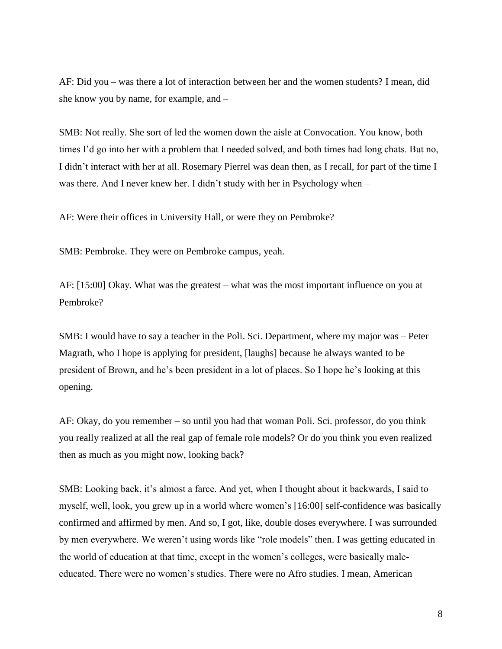AF: Did you – was there a lot of interaction between her and the women students? I mean, did she know you by name, for example, and –

SMB: Not really. She sort of led the women down the aisle at Convocation. You know, both times I'd go into her with a problem that I needed solved, and both times had long chats. But no, I didn't interact with her at all. Rosemary Pierrel was dean then, as I recall, for part of the time I was there. And I never knew her. I didn't study with her in Psychology when –

AF: Were their offices in University Hall, or were they on Pembroke?

SMB: Pembroke. They were on Pembroke campus, yeah.

AF: [15:00] Okay. What was the greatest – what was the most important influence on you at Pembroke?

SMB: I would have to say a teacher in the Poli. Sci. Department, where my major was – Peter Magrath, who I hope is applying for president, [laughs] because he always wanted to be president of Brown, and he's been president in a lot of places. So I hope he's looking at this opening.

AF: Okay, do you remember – so until you had that woman Poli. Sci. professor, do you think you really realized at all the real gap of female role models? Or do you think you even realized then as much as you might now, looking back?

SMB: Looking back, it's almost a farce. And yet, when I thought about it backwards, I said to myself, well, look, you grew up in a world where women's [16:00] self-confidence was basically confirmed and affirmed by men. And so, I got, like, double doses everywhere. I was surrounded by men everywhere. We weren't using words like "role models" then. I was getting educated in the world of education at that time, except in the women's colleges, were basically maleeducated. There were no women's studies. There were no Afro studies. I mean, American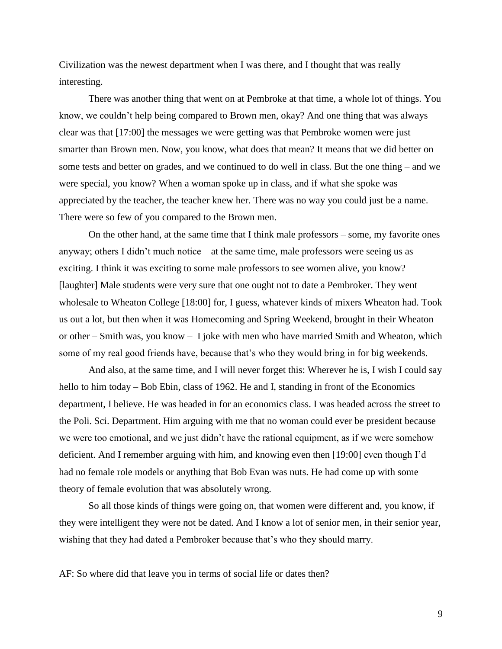Civilization was the newest department when I was there, and I thought that was really interesting.

There was another thing that went on at Pembroke at that time, a whole lot of things. You know, we couldn't help being compared to Brown men, okay? And one thing that was always clear was that [17:00] the messages we were getting was that Pembroke women were just smarter than Brown men. Now, you know, what does that mean? It means that we did better on some tests and better on grades, and we continued to do well in class. But the one thing – and we were special, you know? When a woman spoke up in class, and if what she spoke was appreciated by the teacher, the teacher knew her. There was no way you could just be a name. There were so few of you compared to the Brown men.

On the other hand, at the same time that I think male professors – some, my favorite ones anyway; others I didn't much notice – at the same time, male professors were seeing us as exciting. I think it was exciting to some male professors to see women alive, you know? [laughter] Male students were very sure that one ought not to date a Pembroker. They went wholesale to Wheaton College [18:00] for, I guess, whatever kinds of mixers Wheaton had. Took us out a lot, but then when it was Homecoming and Spring Weekend, brought in their Wheaton or other – Smith was, you know – I joke with men who have married Smith and Wheaton, which some of my real good friends have, because that's who they would bring in for big weekends.

And also, at the same time, and I will never forget this: Wherever he is, I wish I could say hello to him today – Bob Ebin, class of 1962. He and I, standing in front of the Economics department, I believe. He was headed in for an economics class. I was headed across the street to the Poli. Sci. Department. Him arguing with me that no woman could ever be president because we were too emotional, and we just didn't have the rational equipment, as if we were somehow deficient. And I remember arguing with him, and knowing even then [19:00] even though I'd had no female role models or anything that Bob Evan was nuts. He had come up with some theory of female evolution that was absolutely wrong.

So all those kinds of things were going on, that women were different and, you know, if they were intelligent they were not be dated. And I know a lot of senior men, in their senior year, wishing that they had dated a Pembroker because that's who they should marry.

AF: So where did that leave you in terms of social life or dates then?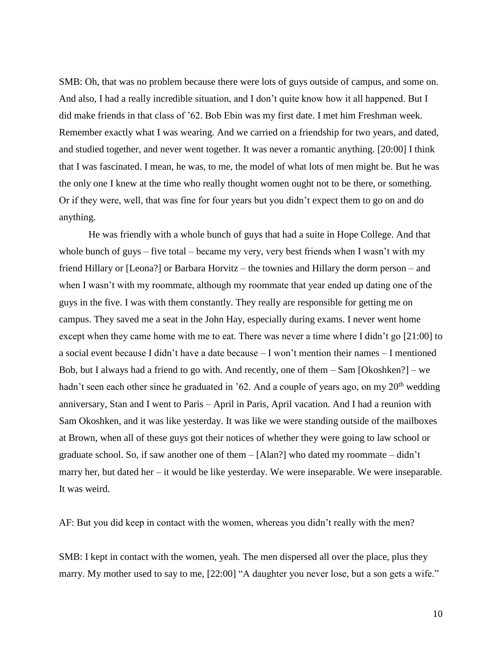SMB: Oh, that was no problem because there were lots of guys outside of campus, and some on. And also, I had a really incredible situation, and I don't quite know how it all happened. But I did make friends in that class of '62. Bob Ebin was my first date. I met him Freshman week. Remember exactly what I was wearing. And we carried on a friendship for two years, and dated, and studied together, and never went together. It was never a romantic anything. [20:00] I think that I was fascinated. I mean, he was, to me, the model of what lots of men might be. But he was the only one I knew at the time who really thought women ought not to be there, or something. Or if they were, well, that was fine for four years but you didn't expect them to go on and do anything.

He was friendly with a whole bunch of guys that had a suite in Hope College. And that whole bunch of guys – five total – became my very, very best friends when I wasn't with my friend Hillary or [Leona?] or Barbara Horvitz – the townies and Hillary the dorm person – and when I wasn't with my roommate, although my roommate that year ended up dating one of the guys in the five. I was with them constantly. They really are responsible for getting me on campus. They saved me a seat in the John Hay, especially during exams. I never went home except when they came home with me to eat. There was never a time where I didn't go [21:00] to a social event because I didn't have a date because – I won't mention their names – I mentioned Bob, but I always had a friend to go with. And recently, one of them – Sam [Okoshken?] – we hadn't seen each other since he graduated in '62. And a couple of years ago, on my  $20<sup>th</sup>$  wedding anniversary, Stan and I went to Paris – April in Paris, April vacation. And I had a reunion with Sam Okoshken, and it was like yesterday. It was like we were standing outside of the mailboxes at Brown, when all of these guys got their notices of whether they were going to law school or graduate school. So, if saw another one of them – [Alan?] who dated my roommate – didn't marry her, but dated her – it would be like yesterday. We were inseparable. We were inseparable. It was weird.

AF: But you did keep in contact with the women, whereas you didn't really with the men?

SMB: I kept in contact with the women, yeah. The men dispersed all over the place, plus they marry. My mother used to say to me, [22:00] "A daughter you never lose, but a son gets a wife."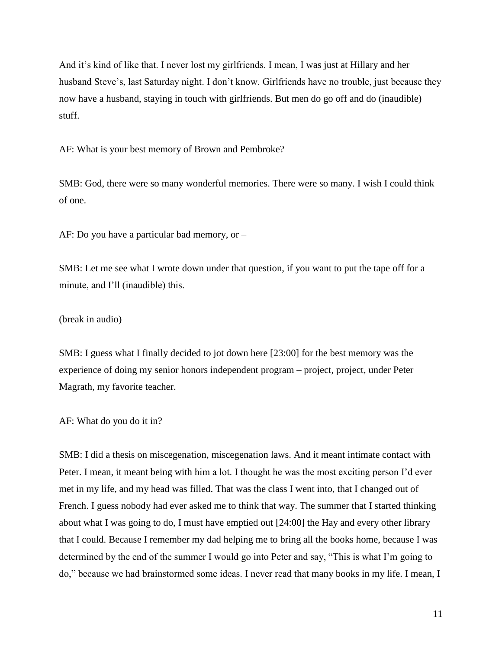And it's kind of like that. I never lost my girlfriends. I mean, I was just at Hillary and her husband Steve's, last Saturday night. I don't know. Girlfriends have no trouble, just because they now have a husband, staying in touch with girlfriends. But men do go off and do (inaudible) stuff.

AF: What is your best memory of Brown and Pembroke?

SMB: God, there were so many wonderful memories. There were so many. I wish I could think of one.

AF: Do you have a particular bad memory, or –

SMB: Let me see what I wrote down under that question, if you want to put the tape off for a minute, and I'll (inaudible) this.

(break in audio)

SMB: I guess what I finally decided to jot down here [23:00] for the best memory was the experience of doing my senior honors independent program – project, project, under Peter Magrath, my favorite teacher.

AF: What do you do it in?

SMB: I did a thesis on miscegenation, miscegenation laws. And it meant intimate contact with Peter. I mean, it meant being with him a lot. I thought he was the most exciting person I'd ever met in my life, and my head was filled. That was the class I went into, that I changed out of French. I guess nobody had ever asked me to think that way. The summer that I started thinking about what I was going to do, I must have emptied out [24:00] the Hay and every other library that I could. Because I remember my dad helping me to bring all the books home, because I was determined by the end of the summer I would go into Peter and say, "This is what I'm going to do," because we had brainstormed some ideas. I never read that many books in my life. I mean, I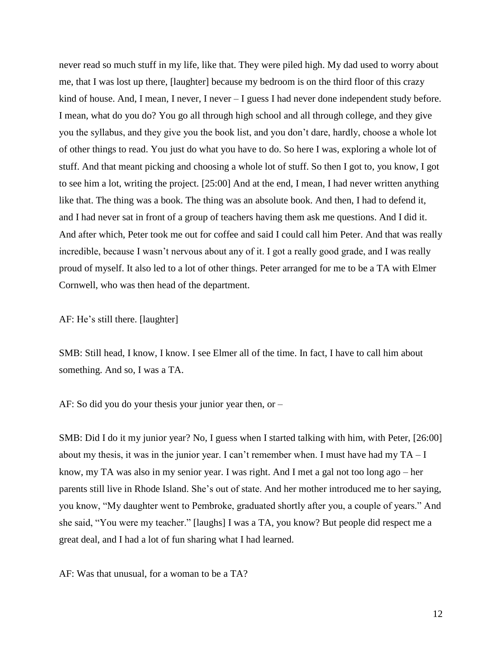never read so much stuff in my life, like that. They were piled high. My dad used to worry about me, that I was lost up there, [laughter] because my bedroom is on the third floor of this crazy kind of house. And, I mean, I never, I never – I guess I had never done independent study before. I mean, what do you do? You go all through high school and all through college, and they give you the syllabus, and they give you the book list, and you don't dare, hardly, choose a whole lot of other things to read. You just do what you have to do. So here I was, exploring a whole lot of stuff. And that meant picking and choosing a whole lot of stuff. So then I got to, you know, I got to see him a lot, writing the project. [25:00] And at the end, I mean, I had never written anything like that. The thing was a book. The thing was an absolute book. And then, I had to defend it, and I had never sat in front of a group of teachers having them ask me questions. And I did it. And after which, Peter took me out for coffee and said I could call him Peter. And that was really incredible, because I wasn't nervous about any of it. I got a really good grade, and I was really proud of myself. It also led to a lot of other things. Peter arranged for me to be a TA with Elmer Cornwell, who was then head of the department.

## AF: He's still there. [laughter]

SMB: Still head, I know, I know. I see Elmer all of the time. In fact, I have to call him about something. And so, I was a TA.

AF: So did you do your thesis your junior year then, or –

SMB: Did I do it my junior year? No, I guess when I started talking with him, with Peter, [26:00] about my thesis, it was in the junior year. I can't remember when. I must have had my  $TA - I$ know, my TA was also in my senior year. I was right. And I met a gal not too long ago – her parents still live in Rhode Island. She's out of state. And her mother introduced me to her saying, you know, "My daughter went to Pembroke, graduated shortly after you, a couple of years." And she said, "You were my teacher." [laughs] I was a TA, you know? But people did respect me a great deal, and I had a lot of fun sharing what I had learned.

AF: Was that unusual, for a woman to be a TA?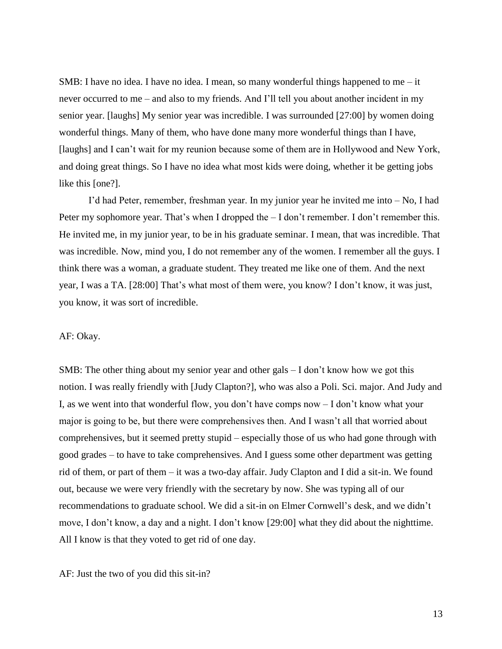SMB: I have no idea. I have no idea. I mean, so many wonderful things happened to me  $-$  it never occurred to me – and also to my friends. And I'll tell you about another incident in my senior year. [laughs] My senior year was incredible. I was surrounded [27:00] by women doing wonderful things. Many of them, who have done many more wonderful things than I have, [laughs] and I can't wait for my reunion because some of them are in Hollywood and New York, and doing great things. So I have no idea what most kids were doing, whether it be getting jobs like this [one?].

I'd had Peter, remember, freshman year. In my junior year he invited me into – No, I had Peter my sophomore year. That's when I dropped the – I don't remember. I don't remember this. He invited me, in my junior year, to be in his graduate seminar. I mean, that was incredible. That was incredible. Now, mind you, I do not remember any of the women. I remember all the guys. I think there was a woman, a graduate student. They treated me like one of them. And the next year, I was a TA. [28:00] That's what most of them were, you know? I don't know, it was just, you know, it was sort of incredible.

#### AF: Okay.

SMB: The other thing about my senior year and other gals – I don't know how we got this notion. I was really friendly with [Judy Clapton?], who was also a Poli. Sci. major. And Judy and I, as we went into that wonderful flow, you don't have comps now – I don't know what your major is going to be, but there were comprehensives then. And I wasn't all that worried about comprehensives, but it seemed pretty stupid – especially those of us who had gone through with good grades – to have to take comprehensives. And I guess some other department was getting rid of them, or part of them – it was a two-day affair. Judy Clapton and I did a sit-in. We found out, because we were very friendly with the secretary by now. She was typing all of our recommendations to graduate school. We did a sit-in on Elmer Cornwell's desk, and we didn't move, I don't know, a day and a night. I don't know [29:00] what they did about the nighttime. All I know is that they voted to get rid of one day.

## AF: Just the two of you did this sit-in?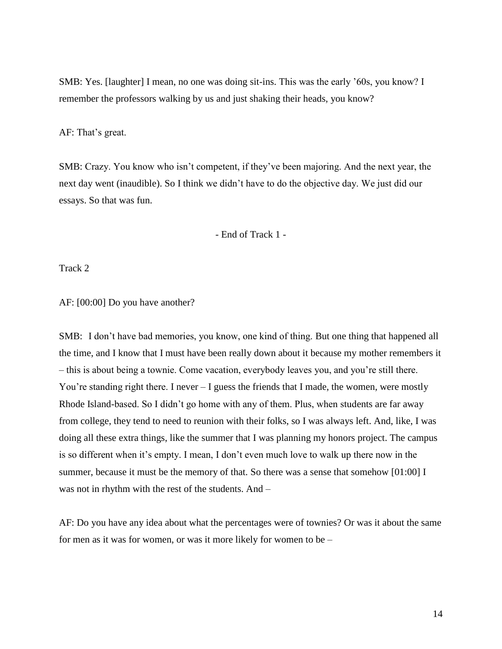SMB: Yes. [laughter] I mean, no one was doing sit-ins. This was the early '60s, you know? I remember the professors walking by us and just shaking their heads, you know?

AF: That's great.

SMB: Crazy. You know who isn't competent, if they've been majoring. And the next year, the next day went (inaudible). So I think we didn't have to do the objective day. We just did our essays. So that was fun.

- End of Track 1 -

Track 2

AF: [00:00] Do you have another?

SMB: I don't have bad memories, you know, one kind of thing. But one thing that happened all the time, and I know that I must have been really down about it because my mother remembers it – this is about being a townie. Come vacation, everybody leaves you, and you're still there. You're standing right there. I never – I guess the friends that I made, the women, were mostly Rhode Island-based. So I didn't go home with any of them. Plus, when students are far away from college, they tend to need to reunion with their folks, so I was always left. And, like, I was doing all these extra things, like the summer that I was planning my honors project. The campus is so different when it's empty. I mean, I don't even much love to walk up there now in the summer, because it must be the memory of that. So there was a sense that somehow [01:00] I was not in rhythm with the rest of the students. And –

AF: Do you have any idea about what the percentages were of townies? Or was it about the same for men as it was for women, or was it more likely for women to be –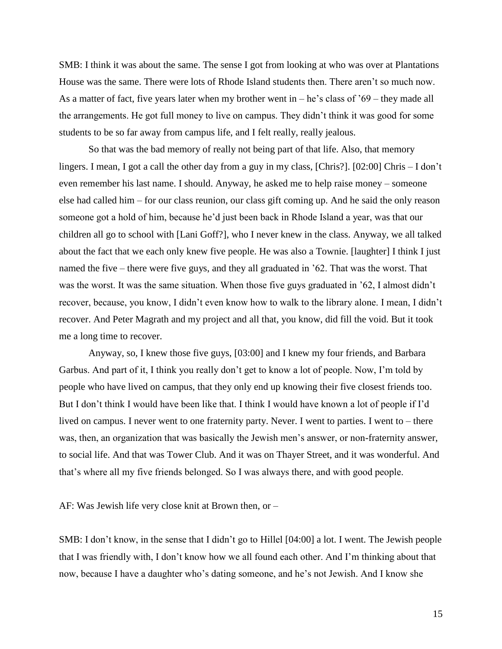SMB: I think it was about the same. The sense I got from looking at who was over at Plantations House was the same. There were lots of Rhode Island students then. There aren't so much now. As a matter of fact, five years later when my brother went in – he's class of '69 – they made all the arrangements. He got full money to live on campus. They didn't think it was good for some students to be so far away from campus life, and I felt really, really jealous.

So that was the bad memory of really not being part of that life. Also, that memory lingers. I mean, I got a call the other day from a guy in my class, [Chris?]. [02:00] Chris – I don't even remember his last name. I should. Anyway, he asked me to help raise money – someone else had called him – for our class reunion, our class gift coming up. And he said the only reason someone got a hold of him, because he'd just been back in Rhode Island a year, was that our children all go to school with [Lani Goff?], who I never knew in the class. Anyway, we all talked about the fact that we each only knew five people. He was also a Townie. [laughter] I think I just named the five – there were five guys, and they all graduated in '62. That was the worst. That was the worst. It was the same situation. When those five guys graduated in '62, I almost didn't recover, because, you know, I didn't even know how to walk to the library alone. I mean, I didn't recover. And Peter Magrath and my project and all that, you know, did fill the void. But it took me a long time to recover.

Anyway, so, I knew those five guys, [03:00] and I knew my four friends, and Barbara Garbus. And part of it, I think you really don't get to know a lot of people. Now, I'm told by people who have lived on campus, that they only end up knowing their five closest friends too. But I don't think I would have been like that. I think I would have known a lot of people if I'd lived on campus. I never went to one fraternity party. Never. I went to parties. I went to – there was, then, an organization that was basically the Jewish men's answer, or non-fraternity answer, to social life. And that was Tower Club. And it was on Thayer Street, and it was wonderful. And that's where all my five friends belonged. So I was always there, and with good people.

AF: Was Jewish life very close knit at Brown then, or –

SMB: I don't know, in the sense that I didn't go to Hillel [04:00] a lot. I went. The Jewish people that I was friendly with, I don't know how we all found each other. And I'm thinking about that now, because I have a daughter who's dating someone, and he's not Jewish. And I know she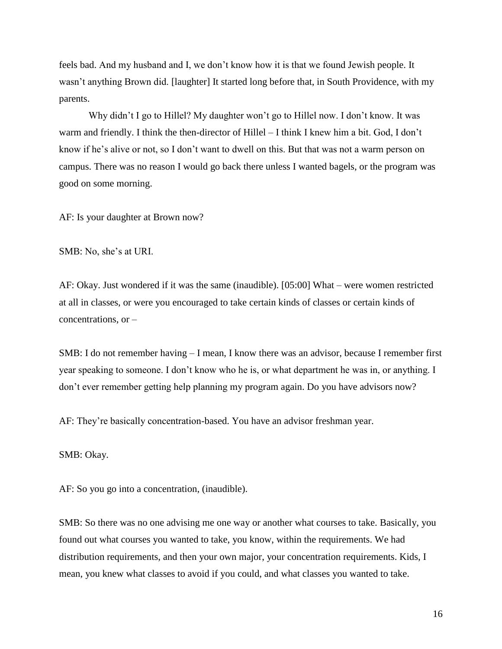feels bad. And my husband and I, we don't know how it is that we found Jewish people. It wasn't anything Brown did. [laughter] It started long before that, in South Providence, with my parents.

Why didn't I go to Hillel? My daughter won't go to Hillel now. I don't know. It was warm and friendly. I think the then-director of Hillel – I think I knew him a bit. God, I don't know if he's alive or not, so I don't want to dwell on this. But that was not a warm person on campus. There was no reason I would go back there unless I wanted bagels, or the program was good on some morning.

AF: Is your daughter at Brown now?

SMB: No, she's at URI.

AF: Okay. Just wondered if it was the same (inaudible). [05:00] What – were women restricted at all in classes, or were you encouraged to take certain kinds of classes or certain kinds of concentrations, or –

SMB: I do not remember having – I mean, I know there was an advisor, because I remember first year speaking to someone. I don't know who he is, or what department he was in, or anything. I don't ever remember getting help planning my program again. Do you have advisors now?

AF: They're basically concentration-based. You have an advisor freshman year.

SMB: Okay.

AF: So you go into a concentration, (inaudible).

SMB: So there was no one advising me one way or another what courses to take. Basically, you found out what courses you wanted to take, you know, within the requirements. We had distribution requirements, and then your own major, your concentration requirements. Kids, I mean, you knew what classes to avoid if you could, and what classes you wanted to take.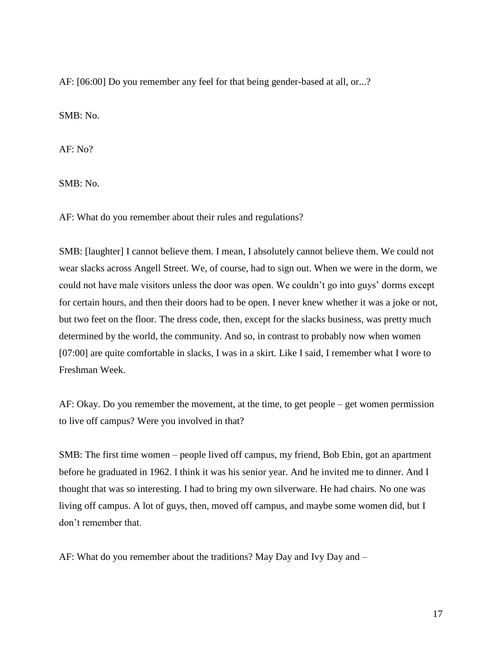AF: [06:00] Do you remember any feel for that being gender-based at all, or...?

SMB: No.

AF: No?

SMB: No.

AF: What do you remember about their rules and regulations?

SMB: [laughter] I cannot believe them. I mean, I absolutely cannot believe them. We could not wear slacks across Angell Street. We, of course, had to sign out. When we were in the dorm, we could not have male visitors unless the door was open. We couldn't go into guys' dorms except for certain hours, and then their doors had to be open. I never knew whether it was a joke or not, but two feet on the floor. The dress code, then, except for the slacks business, was pretty much determined by the world, the community. And so, in contrast to probably now when women [07:00] are quite comfortable in slacks, I was in a skirt. Like I said, I remember what I wore to Freshman Week.

AF: Okay. Do you remember the movement, at the time, to get people – get women permission to live off campus? Were you involved in that?

SMB: The first time women – people lived off campus, my friend, Bob Ebin, got an apartment before he graduated in 1962. I think it was his senior year. And he invited me to dinner. And I thought that was so interesting. I had to bring my own silverware. He had chairs. No one was living off campus. A lot of guys, then, moved off campus, and maybe some women did, but I don't remember that.

AF: What do you remember about the traditions? May Day and Ivy Day and  $-$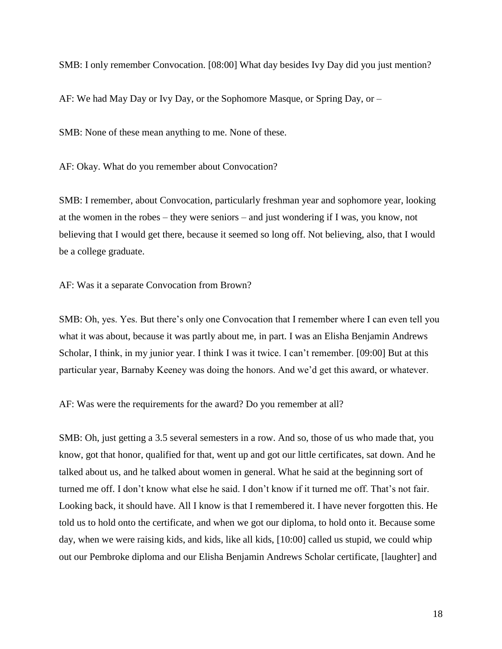SMB: I only remember Convocation. [08:00] What day besides Ivy Day did you just mention?

AF: We had May Day or Ivy Day, or the Sophomore Masque, or Spring Day, or –

SMB: None of these mean anything to me. None of these.

AF: Okay. What do you remember about Convocation?

SMB: I remember, about Convocation, particularly freshman year and sophomore year, looking at the women in the robes – they were seniors – and just wondering if I was, you know, not believing that I would get there, because it seemed so long off. Not believing, also, that I would be a college graduate.

AF: Was it a separate Convocation from Brown?

SMB: Oh, yes. Yes. But there's only one Convocation that I remember where I can even tell you what it was about, because it was partly about me, in part. I was an Elisha Benjamin Andrews Scholar, I think, in my junior year. I think I was it twice. I can't remember. [09:00] But at this particular year, Barnaby Keeney was doing the honors. And we'd get this award, or whatever.

AF: Was were the requirements for the award? Do you remember at all?

SMB: Oh, just getting a 3.5 several semesters in a row. And so, those of us who made that, you know, got that honor, qualified for that, went up and got our little certificates, sat down. And he talked about us, and he talked about women in general. What he said at the beginning sort of turned me off. I don't know what else he said. I don't know if it turned me off. That's not fair. Looking back, it should have. All I know is that I remembered it. I have never forgotten this. He told us to hold onto the certificate, and when we got our diploma, to hold onto it. Because some day, when we were raising kids, and kids, like all kids, [10:00] called us stupid, we could whip out our Pembroke diploma and our Elisha Benjamin Andrews Scholar certificate, [laughter] and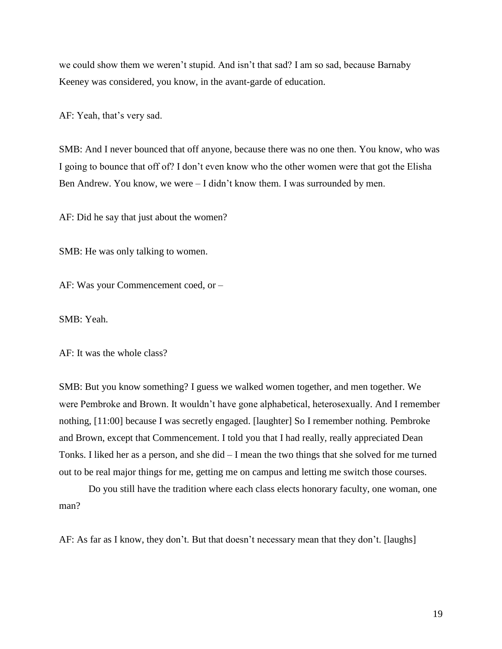we could show them we weren't stupid. And isn't that sad? I am so sad, because Barnaby Keeney was considered, you know, in the avant-garde of education.

AF: Yeah, that's very sad.

SMB: And I never bounced that off anyone, because there was no one then. You know, who was I going to bounce that off of? I don't even know who the other women were that got the Elisha Ben Andrew. You know, we were – I didn't know them. I was surrounded by men.

AF: Did he say that just about the women?

SMB: He was only talking to women.

AF: Was your Commencement coed, or –

SMB: Yeah.

AF: It was the whole class?

SMB: But you know something? I guess we walked women together, and men together. We were Pembroke and Brown. It wouldn't have gone alphabetical, heterosexually. And I remember nothing, [11:00] because I was secretly engaged. [laughter] So I remember nothing. Pembroke and Brown, except that Commencement. I told you that I had really, really appreciated Dean Tonks. I liked her as a person, and she did – I mean the two things that she solved for me turned out to be real major things for me, getting me on campus and letting me switch those courses.

Do you still have the tradition where each class elects honorary faculty, one woman, one man?

AF: As far as I know, they don't. But that doesn't necessary mean that they don't. [laughs]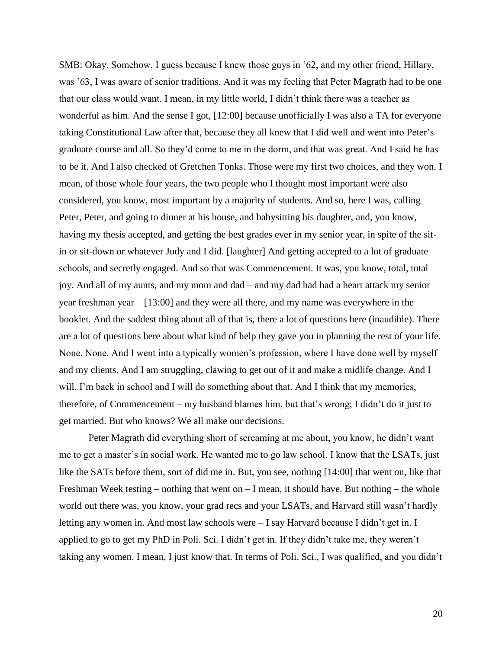SMB: Okay. Somehow, I guess because I knew those guys in '62, and my other friend, Hillary, was '63, I was aware of senior traditions. And it was my feeling that Peter Magrath had to be one that our class would want. I mean, in my little world, I didn't think there was a teacher as wonderful as him. And the sense I got, [12:00] because unofficially I was also a TA for everyone taking Constitutional Law after that, because they all knew that I did well and went into Peter's graduate course and all. So they'd come to me in the dorm, and that was great. And I said he has to be it. And I also checked of Gretchen Tonks. Those were my first two choices, and they won. I mean, of those whole four years, the two people who I thought most important were also considered, you know, most important by a majority of students. And so, here I was, calling Peter, Peter, and going to dinner at his house, and babysitting his daughter, and, you know, having my thesis accepted, and getting the best grades ever in my senior year, in spite of the sitin or sit-down or whatever Judy and I did. [laughter] And getting accepted to a lot of graduate schools, and secretly engaged. And so that was Commencement. It was, you know, total, total joy. And all of my aunts, and my mom and dad – and my dad had had a heart attack my senior year freshman year – [13:00] and they were all there, and my name was everywhere in the booklet. And the saddest thing about all of that is, there a lot of questions here (inaudible). There are a lot of questions here about what kind of help they gave you in planning the rest of your life. None. None. And I went into a typically women's profession, where I have done well by myself and my clients. And I am struggling, clawing to get out of it and make a midlife change. And I will. I'm back in school and I will do something about that. And I think that my memories, therefore, of Commencement – my husband blames him, but that's wrong; I didn't do it just to get married. But who knows? We all make our decisions.

Peter Magrath did everything short of screaming at me about, you know, he didn't want me to get a master's in social work. He wanted me to go law school. I know that the LSATs, just like the SATs before them, sort of did me in. But, you see, nothing [14:00] that went on, like that Freshman Week testing – nothing that went on  $-1$  mean, it should have. But nothing – the whole world out there was, you know, your grad recs and your LSATs, and Harvard still wasn't hardly letting any women in. And most law schools were – I say Harvard because I didn't get in. I applied to go to get my PhD in Poli. Sci. I didn't get in. If they didn't take me, they weren't taking any women. I mean, I just know that. In terms of Poli. Sci., I was qualified, and you didn't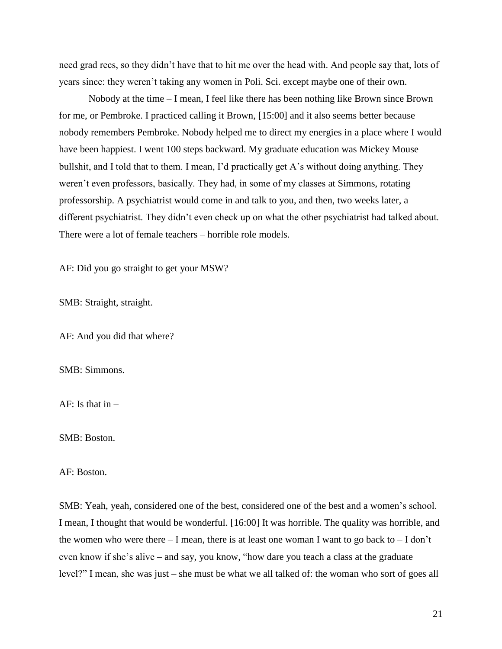need grad recs, so they didn't have that to hit me over the head with. And people say that, lots of years since: they weren't taking any women in Poli. Sci. except maybe one of their own.

Nobody at the time – I mean, I feel like there has been nothing like Brown since Brown for me, or Pembroke. I practiced calling it Brown, [15:00] and it also seems better because nobody remembers Pembroke. Nobody helped me to direct my energies in a place where I would have been happiest. I went 100 steps backward. My graduate education was Mickey Mouse bullshit, and I told that to them. I mean, I'd practically get A's without doing anything. They weren't even professors, basically. They had, in some of my classes at Simmons, rotating professorship. A psychiatrist would come in and talk to you, and then, two weeks later, a different psychiatrist. They didn't even check up on what the other psychiatrist had talked about. There were a lot of female teachers – horrible role models.

AF: Did you go straight to get your MSW?

SMB: Straight, straight.

AF: And you did that where?

SMB: Simmons.

AF: Is that  $in -$ 

SMB: Boston.

AF: Boston.

SMB: Yeah, yeah, considered one of the best, considered one of the best and a women's school. I mean, I thought that would be wonderful. [16:00] It was horrible. The quality was horrible, and the women who were there  $- I$  mean, there is at least one woman I want to go back to  $- I$  don't even know if she's alive – and say, you know, "how dare you teach a class at the graduate level?" I mean, she was just – she must be what we all talked of: the woman who sort of goes all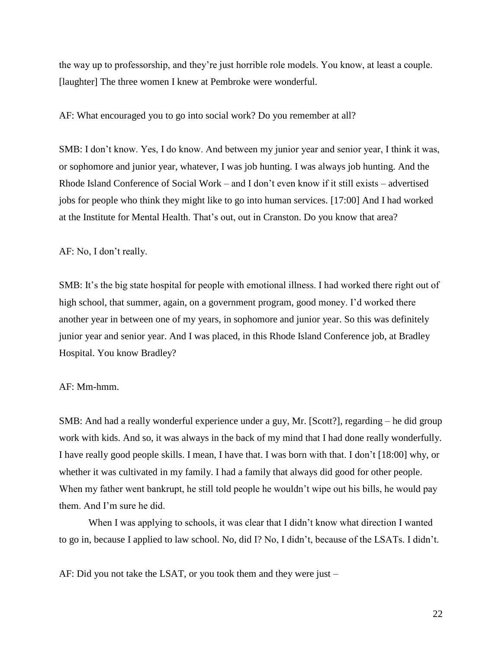the way up to professorship, and they're just horrible role models. You know, at least a couple. [laughter] The three women I knew at Pembroke were wonderful.

AF: What encouraged you to go into social work? Do you remember at all?

SMB: I don't know. Yes, I do know. And between my junior year and senior year, I think it was, or sophomore and junior year, whatever, I was job hunting. I was always job hunting. And the Rhode Island Conference of Social Work – and I don't even know if it still exists – advertised jobs for people who think they might like to go into human services. [17:00] And I had worked at the Institute for Mental Health. That's out, out in Cranston. Do you know that area?

AF: No, I don't really.

SMB: It's the big state hospital for people with emotional illness. I had worked there right out of high school, that summer, again, on a government program, good money. I'd worked there another year in between one of my years, in sophomore and junior year. So this was definitely junior year and senior year. And I was placed, in this Rhode Island Conference job, at Bradley Hospital. You know Bradley?

AF: Mm-hmm.

SMB: And had a really wonderful experience under a guy, Mr. [Scott?], regarding – he did group work with kids. And so, it was always in the back of my mind that I had done really wonderfully. I have really good people skills. I mean, I have that. I was born with that. I don't [18:00] why, or whether it was cultivated in my family. I had a family that always did good for other people. When my father went bankrupt, he still told people he wouldn't wipe out his bills, he would pay them. And I'm sure he did.

When I was applying to schools, it was clear that I didn't know what direction I wanted to go in, because I applied to law school. No, did I? No, I didn't, because of the LSATs. I didn't.

AF: Did you not take the LSAT, or you took them and they were just –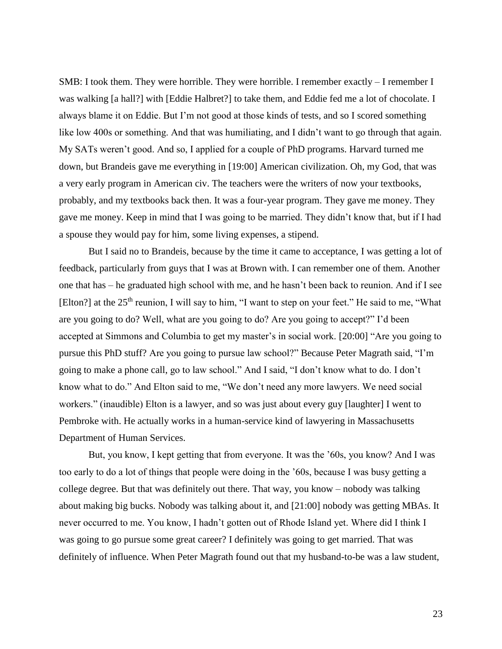SMB: I took them. They were horrible. They were horrible. I remember exactly – I remember I was walking [a hall?] with [Eddie Halbret?] to take them, and Eddie fed me a lot of chocolate. I always blame it on Eddie. But I'm not good at those kinds of tests, and so I scored something like low 400s or something. And that was humiliating, and I didn't want to go through that again. My SATs weren't good. And so, I applied for a couple of PhD programs. Harvard turned me down, but Brandeis gave me everything in [19:00] American civilization. Oh, my God, that was a very early program in American civ. The teachers were the writers of now your textbooks, probably, and my textbooks back then. It was a four-year program. They gave me money. They gave me money. Keep in mind that I was going to be married. They didn't know that, but if I had a spouse they would pay for him, some living expenses, a stipend.

But I said no to Brandeis, because by the time it came to acceptance, I was getting a lot of feedback, particularly from guys that I was at Brown with. I can remember one of them. Another one that has – he graduated high school with me, and he hasn't been back to reunion. And if I see [Elton?] at the  $25<sup>th</sup>$  reunion, I will say to him, "I want to step on your feet." He said to me, "What are you going to do? Well, what are you going to do? Are you going to accept?" I'd been accepted at Simmons and Columbia to get my master's in social work. [20:00] "Are you going to pursue this PhD stuff? Are you going to pursue law school?" Because Peter Magrath said, "I'm going to make a phone call, go to law school." And I said, "I don't know what to do. I don't know what to do." And Elton said to me, "We don't need any more lawyers. We need social workers." (inaudible) Elton is a lawyer, and so was just about every guy [laughter] I went to Pembroke with. He actually works in a human-service kind of lawyering in Massachusetts Department of Human Services.

But, you know, I kept getting that from everyone. It was the '60s, you know? And I was too early to do a lot of things that people were doing in the '60s, because I was busy getting a college degree. But that was definitely out there. That way, you know – nobody was talking about making big bucks. Nobody was talking about it, and [21:00] nobody was getting MBAs. It never occurred to me. You know, I hadn't gotten out of Rhode Island yet. Where did I think I was going to go pursue some great career? I definitely was going to get married. That was definitely of influence. When Peter Magrath found out that my husband-to-be was a law student,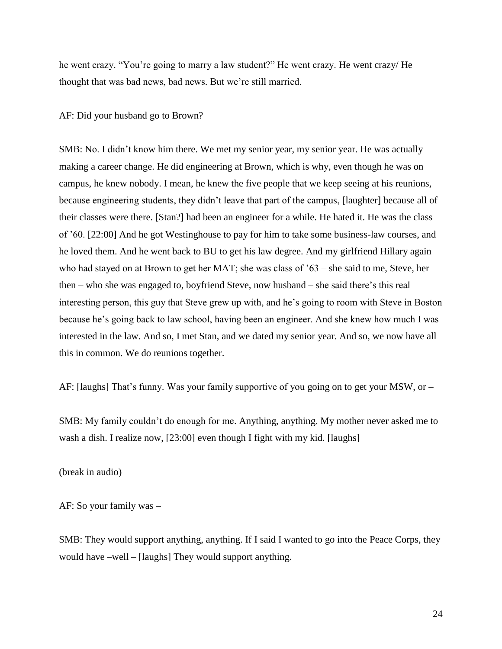he went crazy. "You're going to marry a law student?" He went crazy. He went crazy/ He thought that was bad news, bad news. But we're still married.

AF: Did your husband go to Brown?

SMB: No. I didn't know him there. We met my senior year, my senior year. He was actually making a career change. He did engineering at Brown, which is why, even though he was on campus, he knew nobody. I mean, he knew the five people that we keep seeing at his reunions, because engineering students, they didn't leave that part of the campus, [laughter] because all of their classes were there. [Stan?] had been an engineer for a while. He hated it. He was the class of '60. [22:00] And he got Westinghouse to pay for him to take some business-law courses, and he loved them. And he went back to BU to get his law degree. And my girlfriend Hillary again – who had stayed on at Brown to get her MAT; she was class of '63 – she said to me, Steve, her then – who she was engaged to, boyfriend Steve, now husband – she said there's this real interesting person, this guy that Steve grew up with, and he's going to room with Steve in Boston because he's going back to law school, having been an engineer. And she knew how much I was interested in the law. And so, I met Stan, and we dated my senior year. And so, we now have all this in common. We do reunions together.

AF: [laughs] That's funny. Was your family supportive of you going on to get your MSW, or –

SMB: My family couldn't do enough for me. Anything, anything. My mother never asked me to wash a dish. I realize now, [23:00] even though I fight with my kid. [laughs]

(break in audio)

AF: So your family was –

SMB: They would support anything, anything. If I said I wanted to go into the Peace Corps, they would have –well – [laughs] They would support anything.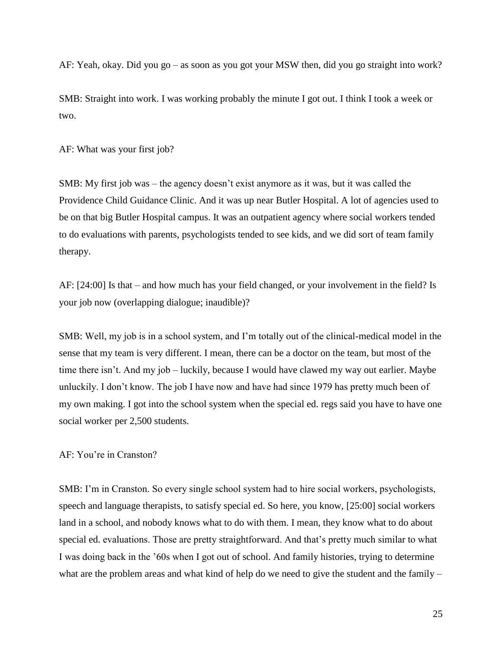AF: Yeah, okay. Did you go – as soon as you got your MSW then, did you go straight into work?

SMB: Straight into work. I was working probably the minute I got out. I think I took a week or two.

AF: What was your first job?

SMB: My first job was – the agency doesn't exist anymore as it was, but it was called the Providence Child Guidance Clinic. And it was up near Butler Hospital. A lot of agencies used to be on that big Butler Hospital campus. It was an outpatient agency where social workers tended to do evaluations with parents, psychologists tended to see kids, and we did sort of team family therapy.

AF: [24:00] Is that – and how much has your field changed, or your involvement in the field? Is your job now (overlapping dialogue; inaudible)?

SMB: Well, my job is in a school system, and I'm totally out of the clinical-medical model in the sense that my team is very different. I mean, there can be a doctor on the team, but most of the time there isn't. And my job – luckily, because I would have clawed my way out earlier. Maybe unluckily. I don't know. The job I have now and have had since 1979 has pretty much been of my own making. I got into the school system when the special ed. regs said you have to have one social worker per 2,500 students.

AF: You're in Cranston?

SMB: I'm in Cranston. So every single school system had to hire social workers, psychologists, speech and language therapists, to satisfy special ed. So here, you know, [25:00] social workers land in a school, and nobody knows what to do with them. I mean, they know what to do about special ed. evaluations. Those are pretty straightforward. And that's pretty much similar to what I was doing back in the '60s when I got out of school. And family histories, trying to determine what are the problem areas and what kind of help do we need to give the student and the family –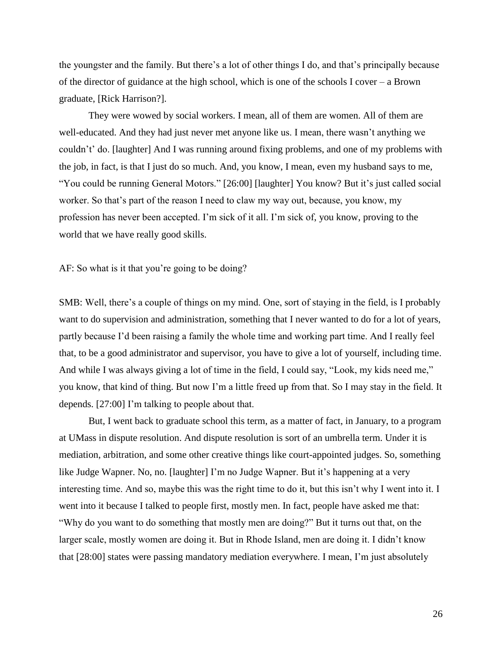the youngster and the family. But there's a lot of other things I do, and that's principally because of the director of guidance at the high school, which is one of the schools I cover – a Brown graduate, [Rick Harrison?].

They were wowed by social workers. I mean, all of them are women. All of them are well-educated. And they had just never met anyone like us. I mean, there wasn't anything we couldn't' do. [laughter] And I was running around fixing problems, and one of my problems with the job, in fact, is that I just do so much. And, you know, I mean, even my husband says to me, "You could be running General Motors." [26:00] [laughter] You know? But it's just called social worker. So that's part of the reason I need to claw my way out, because, you know, my profession has never been accepted. I'm sick of it all. I'm sick of, you know, proving to the world that we have really good skills.

AF: So what is it that you're going to be doing?

SMB: Well, there's a couple of things on my mind. One, sort of staying in the field, is I probably want to do supervision and administration, something that I never wanted to do for a lot of years, partly because I'd been raising a family the whole time and working part time. And I really feel that, to be a good administrator and supervisor, you have to give a lot of yourself, including time. And while I was always giving a lot of time in the field, I could say, "Look, my kids need me," you know, that kind of thing. But now I'm a little freed up from that. So I may stay in the field. It depends. [27:00] I'm talking to people about that.

But, I went back to graduate school this term, as a matter of fact, in January, to a program at UMass in dispute resolution. And dispute resolution is sort of an umbrella term. Under it is mediation, arbitration, and some other creative things like court-appointed judges. So, something like Judge Wapner. No, no. [laughter] I'm no Judge Wapner. But it's happening at a very interesting time. And so, maybe this was the right time to do it, but this isn't why I went into it. I went into it because I talked to people first, mostly men. In fact, people have asked me that: "Why do you want to do something that mostly men are doing?" But it turns out that, on the larger scale, mostly women are doing it. But in Rhode Island, men are doing it. I didn't know that [28:00] states were passing mandatory mediation everywhere. I mean, I'm just absolutely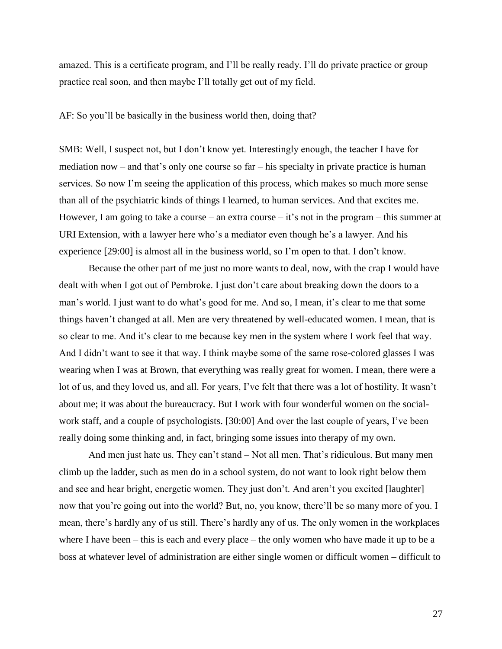amazed. This is a certificate program, and I'll be really ready. I'll do private practice or group practice real soon, and then maybe I'll totally get out of my field.

AF: So you'll be basically in the business world then, doing that?

SMB: Well, I suspect not, but I don't know yet. Interestingly enough, the teacher I have for mediation now – and that's only one course so far – his specialty in private practice is human services. So now I'm seeing the application of this process, which makes so much more sense than all of the psychiatric kinds of things I learned, to human services. And that excites me. However, I am going to take a course – an extra course – it's not in the program – this summer at URI Extension, with a lawyer here who's a mediator even though he's a lawyer. And his experience [29:00] is almost all in the business world, so I'm open to that. I don't know.

Because the other part of me just no more wants to deal, now, with the crap I would have dealt with when I got out of Pembroke. I just don't care about breaking down the doors to a man's world. I just want to do what's good for me. And so, I mean, it's clear to me that some things haven't changed at all. Men are very threatened by well-educated women. I mean, that is so clear to me. And it's clear to me because key men in the system where I work feel that way. And I didn't want to see it that way. I think maybe some of the same rose-colored glasses I was wearing when I was at Brown, that everything was really great for women. I mean, there were a lot of us, and they loved us, and all. For years, I've felt that there was a lot of hostility. It wasn't about me; it was about the bureaucracy. But I work with four wonderful women on the socialwork staff, and a couple of psychologists. [30:00] And over the last couple of years, I've been really doing some thinking and, in fact, bringing some issues into therapy of my own.

And men just hate us. They can't stand – Not all men. That's ridiculous. But many men climb up the ladder, such as men do in a school system, do not want to look right below them and see and hear bright, energetic women. They just don't. And aren't you excited [laughter] now that you're going out into the world? But, no, you know, there'll be so many more of you. I mean, there's hardly any of us still. There's hardly any of us. The only women in the workplaces where I have been – this is each and every place – the only women who have made it up to be a boss at whatever level of administration are either single women or difficult women – difficult to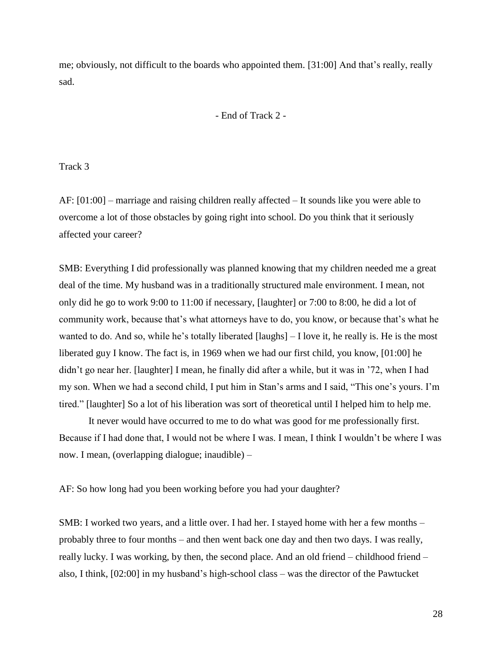me; obviously, not difficult to the boards who appointed them. [31:00] And that's really, really sad.

- End of Track 2 -

Track 3

AF: [01:00] – marriage and raising children really affected – It sounds like you were able to overcome a lot of those obstacles by going right into school. Do you think that it seriously affected your career?

SMB: Everything I did professionally was planned knowing that my children needed me a great deal of the time. My husband was in a traditionally structured male environment. I mean, not only did he go to work 9:00 to 11:00 if necessary, [laughter] or 7:00 to 8:00, he did a lot of community work, because that's what attorneys have to do, you know, or because that's what he wanted to do. And so, while he's totally liberated [laughs] – I love it, he really is. He is the most liberated guy I know. The fact is, in 1969 when we had our first child, you know, [01:00] he didn't go near her. [laughter] I mean, he finally did after a while, but it was in '72, when I had my son. When we had a second child, I put him in Stan's arms and I said, "This one's yours. I'm tired." [laughter] So a lot of his liberation was sort of theoretical until I helped him to help me.

It never would have occurred to me to do what was good for me professionally first. Because if I had done that, I would not be where I was. I mean, I think I wouldn't be where I was now. I mean, (overlapping dialogue; inaudible) –

AF: So how long had you been working before you had your daughter?

SMB: I worked two years, and a little over. I had her. I stayed home with her a few months – probably three to four months – and then went back one day and then two days. I was really, really lucky. I was working, by then, the second place. And an old friend – childhood friend – also, I think, [02:00] in my husband's high-school class – was the director of the Pawtucket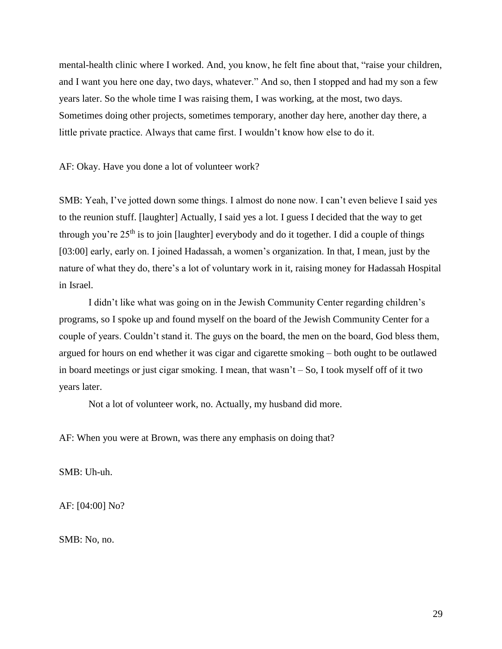mental-health clinic where I worked. And, you know, he felt fine about that, "raise your children, and I want you here one day, two days, whatever." And so, then I stopped and had my son a few years later. So the whole time I was raising them, I was working, at the most, two days. Sometimes doing other projects, sometimes temporary, another day here, another day there, a little private practice. Always that came first. I wouldn't know how else to do it.

AF: Okay. Have you done a lot of volunteer work?

SMB: Yeah, I've jotted down some things. I almost do none now. I can't even believe I said yes to the reunion stuff. [laughter] Actually, I said yes a lot. I guess I decided that the way to get through you're  $25<sup>th</sup>$  is to join [laughter] everybody and do it together. I did a couple of things [03:00] early, early on. I joined Hadassah, a women's organization. In that, I mean, just by the nature of what they do, there's a lot of voluntary work in it, raising money for Hadassah Hospital in Israel.

I didn't like what was going on in the Jewish Community Center regarding children's programs, so I spoke up and found myself on the board of the Jewish Community Center for a couple of years. Couldn't stand it. The guys on the board, the men on the board, God bless them, argued for hours on end whether it was cigar and cigarette smoking – both ought to be outlawed in board meetings or just cigar smoking. I mean, that wasn't  $-$  So, I took myself off of it two years later.

Not a lot of volunteer work, no. Actually, my husband did more.

AF: When you were at Brown, was there any emphasis on doing that?

SMB: Uh-uh.

AF: [04:00] No?

SMB: No, no.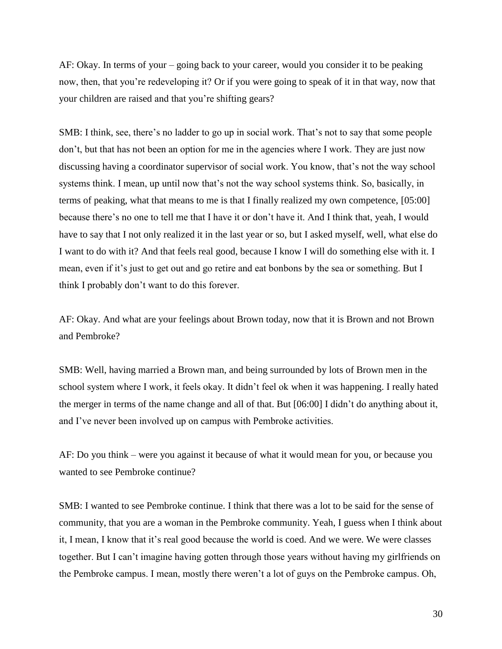AF: Okay. In terms of your – going back to your career, would you consider it to be peaking now, then, that you're redeveloping it? Or if you were going to speak of it in that way, now that your children are raised and that you're shifting gears?

SMB: I think, see, there's no ladder to go up in social work. That's not to say that some people don't, but that has not been an option for me in the agencies where I work. They are just now discussing having a coordinator supervisor of social work. You know, that's not the way school systems think. I mean, up until now that's not the way school systems think. So, basically, in terms of peaking, what that means to me is that I finally realized my own competence, [05:00] because there's no one to tell me that I have it or don't have it. And I think that, yeah, I would have to say that I not only realized it in the last year or so, but I asked myself, well, what else do I want to do with it? And that feels real good, because I know I will do something else with it. I mean, even if it's just to get out and go retire and eat bonbons by the sea or something. But I think I probably don't want to do this forever.

AF: Okay. And what are your feelings about Brown today, now that it is Brown and not Brown and Pembroke?

SMB: Well, having married a Brown man, and being surrounded by lots of Brown men in the school system where I work, it feels okay. It didn't feel ok when it was happening. I really hated the merger in terms of the name change and all of that. But [06:00] I didn't do anything about it, and I've never been involved up on campus with Pembroke activities.

AF: Do you think – were you against it because of what it would mean for you, or because you wanted to see Pembroke continue?

SMB: I wanted to see Pembroke continue. I think that there was a lot to be said for the sense of community, that you are a woman in the Pembroke community. Yeah, I guess when I think about it, I mean, I know that it's real good because the world is coed. And we were. We were classes together. But I can't imagine having gotten through those years without having my girlfriends on the Pembroke campus. I mean, mostly there weren't a lot of guys on the Pembroke campus. Oh,